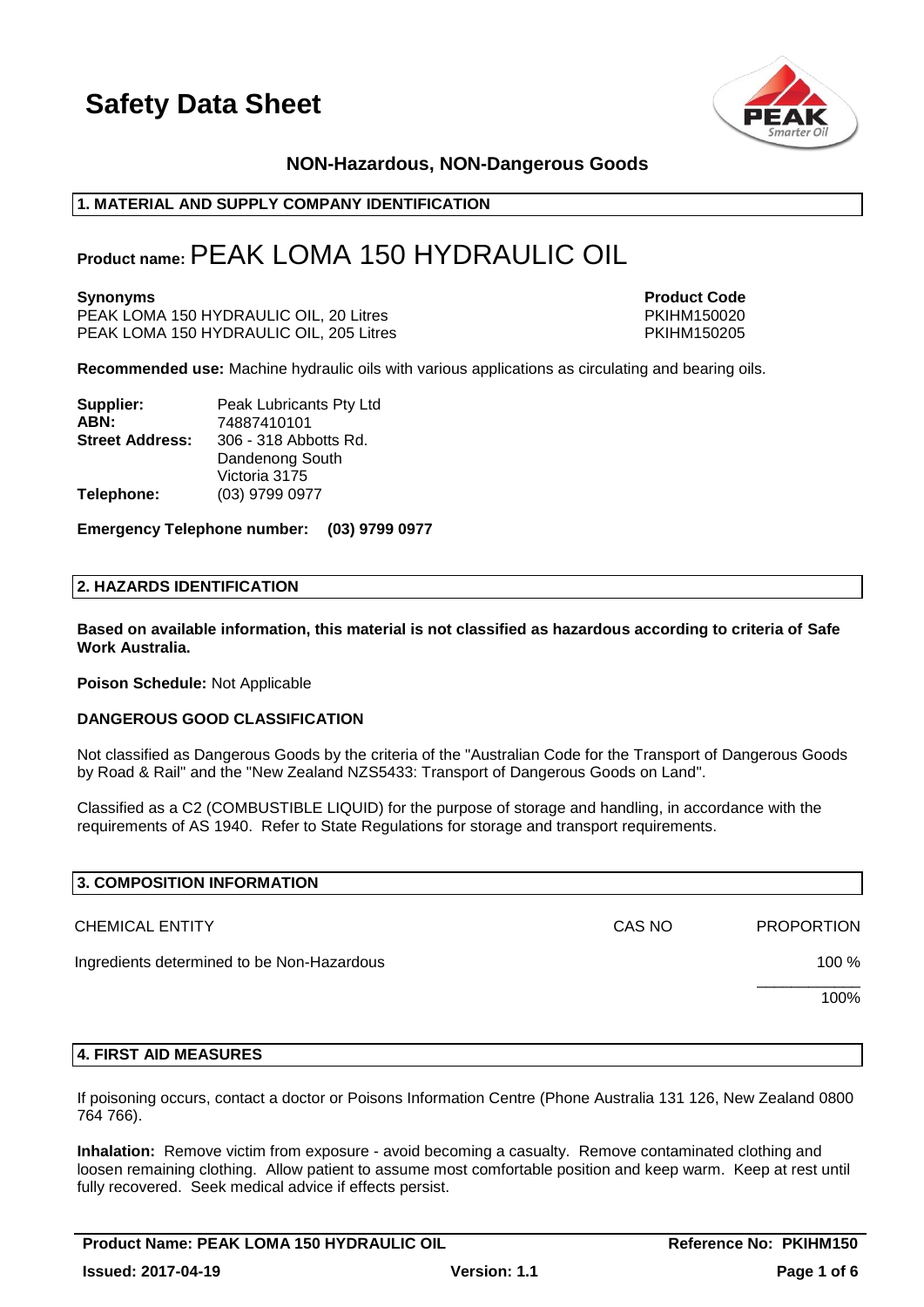

# **NON-Hazardous, NON-Dangerous Goods**

# **1. MATERIAL AND SUPPLY COMPANY IDENTIFICATION**

# **Product name:**PEAK LOMA 150 HYDRAULIC OIL

PEAK LOMA 150 HYDRAULIC OIL, 20 Litres PKIHM150020 PEAK LOMA 150 HYDRAULIC OIL, 205 Litres

**Synonyms Product Code** 

**Recommended use:** Machine hydraulic oils with various applications as circulating and bearing oils.

| Supplier:              | Peak Lubricants Pty Ltd |
|------------------------|-------------------------|
| ABN:                   | 74887410101             |
| <b>Street Address:</b> | 306 - 318 Abbotts Rd.   |
|                        | Dandenong South         |
|                        | Victoria 3175           |
| Telephone:             | (03) 9799 0977          |

**Emergency Telephone number: (03) 9799 0977**

#### **2. HAZARDS IDENTIFICATION**

**Based on available information, this material is not classified as hazardous according to criteria of Safe Work Australia.**

**Poison Schedule:** Not Applicable

#### **DANGEROUS GOOD CLASSIFICATION**

Not classified as Dangerous Goods by the criteria of the "Australian Code for the Transport of Dangerous Goods by Road & Rail" and the "New Zealand NZS5433: Transport of Dangerous Goods on Land".

Classified as a C2 (COMBUSTIBLE LIQUID) for the purpose of storage and handling, in accordance with the requirements of AS 1940. Refer to State Regulations for storage and transport requirements.

| 3. COMPOSITION INFORMATION                 |        |                   |
|--------------------------------------------|--------|-------------------|
| <b>CHEMICAL ENTITY</b>                     | CAS NO | <b>PROPORTION</b> |
| Ingredients determined to be Non-Hazardous |        | 100 %             |
|                                            |        | 100%              |
|                                            |        |                   |

#### **4. FIRST AID MEASURES**

If poisoning occurs, contact a doctor or Poisons Information Centre (Phone Australia 131 126, New Zealand 0800 764 766).

**Inhalation:** Remove victim from exposure - avoid becoming a casualty. Remove contaminated clothing and loosen remaining clothing. Allow patient to assume most comfortable position and keep warm. Keep at rest until fully recovered. Seek medical advice if effects persist.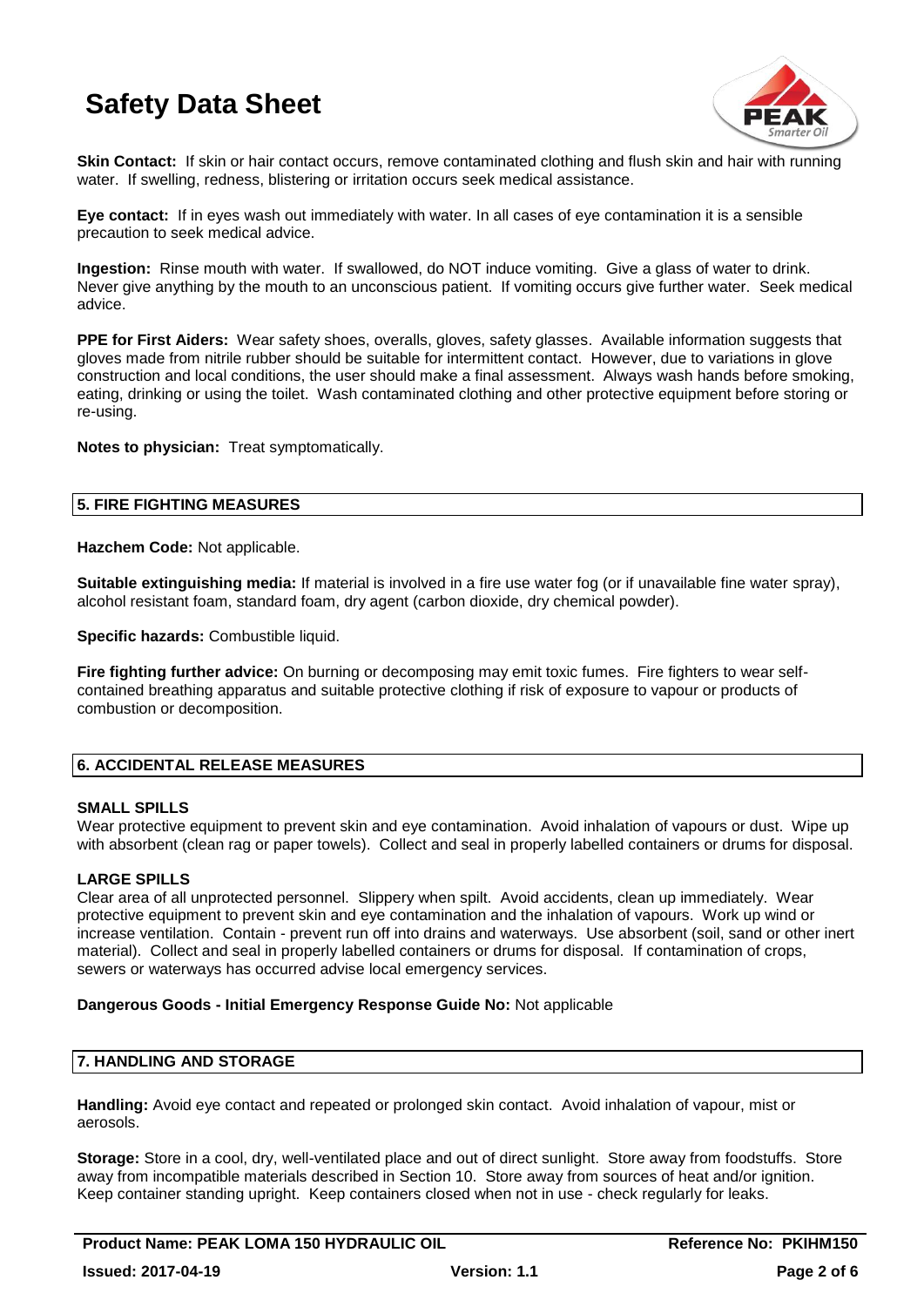

**Skin Contact:** If skin or hair contact occurs, remove contaminated clothing and flush skin and hair with running water. If swelling, redness, blistering or irritation occurs seek medical assistance.

**Eye contact:** If in eyes wash out immediately with water. In all cases of eye contamination it is a sensible precaution to seek medical advice.

**Ingestion:** Rinse mouth with water. If swallowed, do NOT induce vomiting. Give a glass of water to drink. Never give anything by the mouth to an unconscious patient. If vomiting occurs give further water. Seek medical advice.

**PPE for First Aiders:** Wear safety shoes, overalls, gloves, safety glasses. Available information suggests that gloves made from nitrile rubber should be suitable for intermittent contact. However, due to variations in glove construction and local conditions, the user should make a final assessment. Always wash hands before smoking, eating, drinking or using the toilet. Wash contaminated clothing and other protective equipment before storing or re-using.

**Notes to physician:** Treat symptomatically.

# **5. FIRE FIGHTING MEASURES**

**Hazchem Code:** Not applicable.

**Suitable extinguishing media:** If material is involved in a fire use water fog (or if unavailable fine water spray), alcohol resistant foam, standard foam, dry agent (carbon dioxide, dry chemical powder).

**Specific hazards:** Combustible liquid.

**Fire fighting further advice:** On burning or decomposing may emit toxic fumes. Fire fighters to wear selfcontained breathing apparatus and suitable protective clothing if risk of exposure to vapour or products of combustion or decomposition.

# **6. ACCIDENTAL RELEASE MEASURES**

### **SMALL SPILLS**

Wear protective equipment to prevent skin and eye contamination. Avoid inhalation of vapours or dust. Wipe up with absorbent (clean rag or paper towels). Collect and seal in properly labelled containers or drums for disposal.

# **LARGE SPILLS**

Clear area of all unprotected personnel. Slippery when spilt. Avoid accidents, clean up immediately. Wear protective equipment to prevent skin and eye contamination and the inhalation of vapours. Work up wind or increase ventilation. Contain - prevent run off into drains and waterways. Use absorbent (soil, sand or other inert material). Collect and seal in properly labelled containers or drums for disposal. If contamination of crops, sewers or waterways has occurred advise local emergency services.

### **Dangerous Goods - Initial Emergency Response Guide No:** Not applicable

### **7. HANDLING AND STORAGE**

**Handling:** Avoid eye contact and repeated or prolonged skin contact. Avoid inhalation of vapour, mist or aerosols.

**Storage:** Store in a cool, dry, well-ventilated place and out of direct sunlight. Store away from foodstuffs. Store away from incompatible materials described in Section 10. Store away from sources of heat and/or ignition. Keep container standing upright. Keep containers closed when not in use - check regularly for leaks.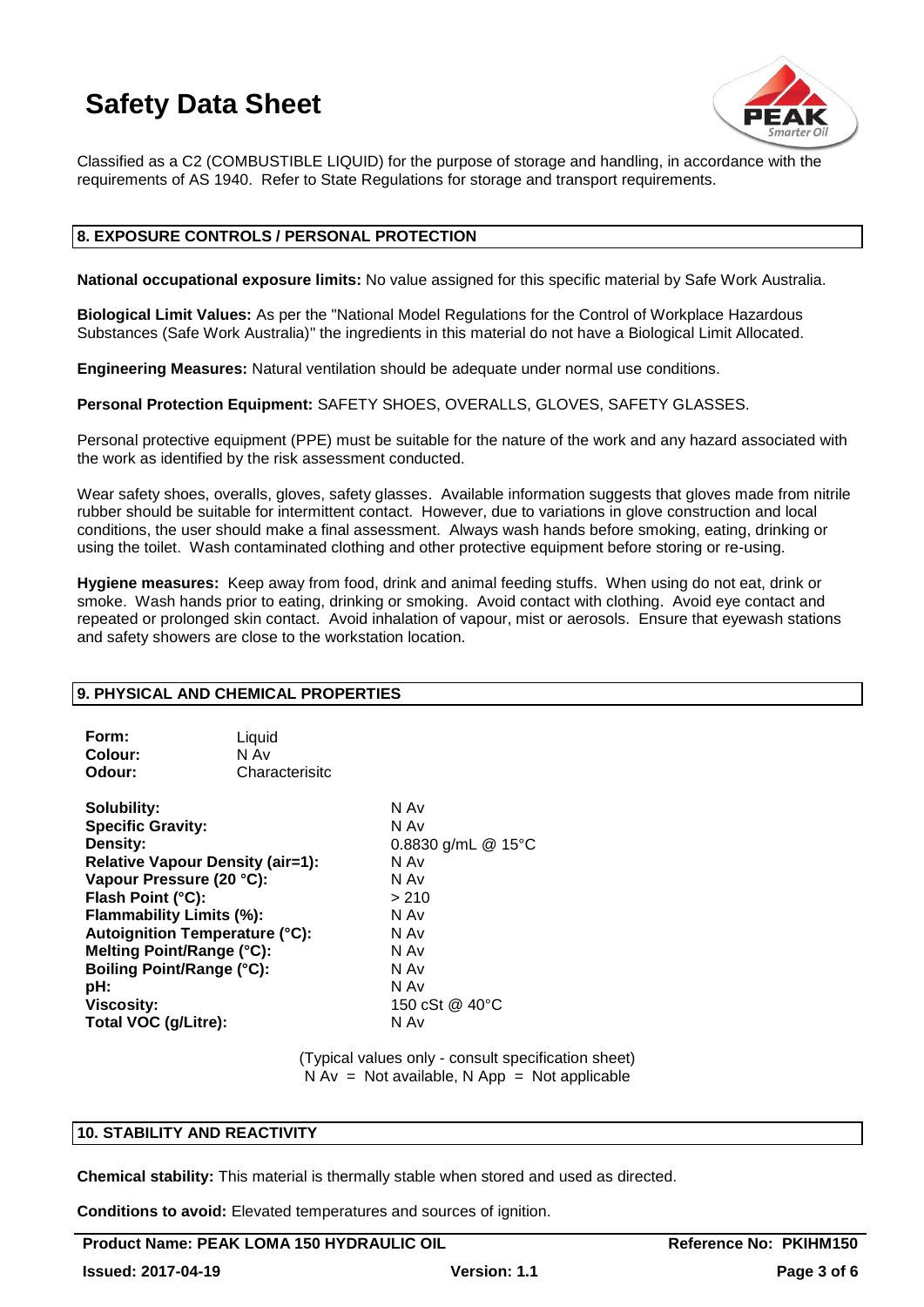

Classified as a C2 (COMBUSTIBLE LIQUID) for the purpose of storage and handling, in accordance with the requirements of AS 1940. Refer to State Regulations for storage and transport requirements.

### **8. EXPOSURE CONTROLS / PERSONAL PROTECTION**

**National occupational exposure limits:** No value assigned for this specific material by Safe Work Australia.

**Biological Limit Values:** As per the "National Model Regulations for the Control of Workplace Hazardous Substances (Safe Work Australia)" the ingredients in this material do not have a Biological Limit Allocated.

**Engineering Measures:** Natural ventilation should be adequate under normal use conditions.

**Personal Protection Equipment:** SAFETY SHOES, OVERALLS, GLOVES, SAFETY GLASSES.

Personal protective equipment (PPE) must be suitable for the nature of the work and any hazard associated with the work as identified by the risk assessment conducted.

Wear safety shoes, overalls, gloves, safety glasses. Available information suggests that gloves made from nitrile rubber should be suitable for intermittent contact. However, due to variations in glove construction and local conditions, the user should make a final assessment. Always wash hands before smoking, eating, drinking or using the toilet. Wash contaminated clothing and other protective equipment before storing or re-using.

**Hygiene measures:** Keep away from food, drink and animal feeding stuffs. When using do not eat, drink or smoke. Wash hands prior to eating, drinking or smoking. Avoid contact with clothing. Avoid eye contact and repeated or prolonged skin contact. Avoid inhalation of vapour, mist or aerosols. Ensure that eyewash stations and safety showers are close to the workstation location.

### **9. PHYSICAL AND CHEMICAL PROPERTIES**

| Form:   | Liquid         |
|---------|----------------|
| Colour: | N Av           |
| Odour:  | Characterisitc |

**Solubility:** N Av **Specific Gravity:** N Av **Density:** 0.8830 g/mL @ 15°C **Relative Vapour Density (air=1):** N Av **Vapour Pressure (20 °C):** N Av **Flash Point (°C):** > 210 **Flammability Limits (%):** N Av **Autoignition Temperature (°C):** N Av **Melting Point/Range (°C):** N Av **Boiling Point/Range (°C):** N Av<br> **pH:** N Av **pH:** N Av **Viscosity:** 150 cSt @ 40°C **Total VOC (g/Litre):** N Av

> (Typical values only - consult specification sheet)  $N Av = Not available, N App = Not applicable$

### **10. STABILITY AND REACTIVITY**

**Chemical stability:** This material is thermally stable when stored and used as directed.

**Conditions to avoid:** Elevated temperatures and sources of ignition.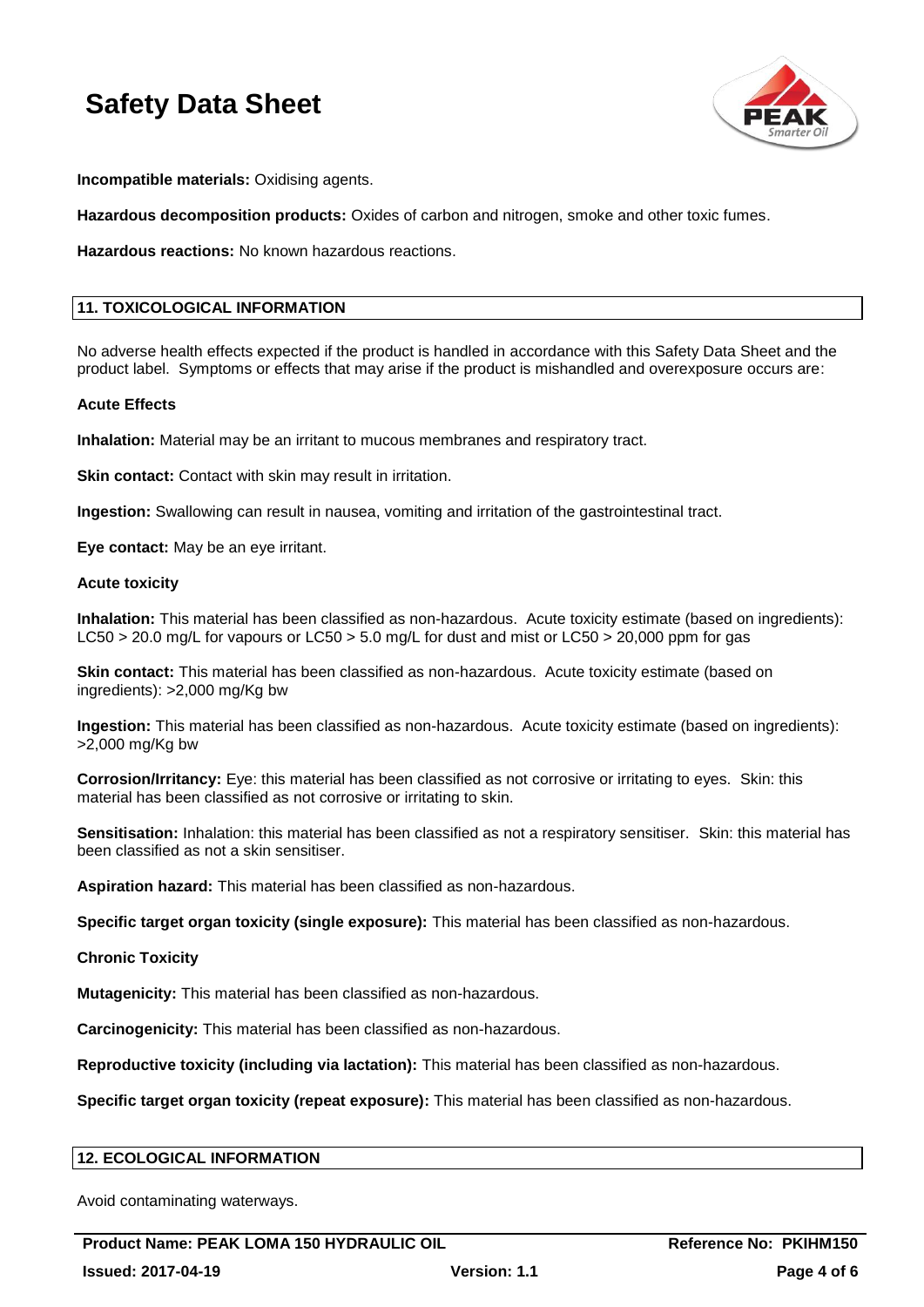

**Incompatible materials:** Oxidising agents.

**Hazardous decomposition products:** Oxides of carbon and nitrogen, smoke and other toxic fumes.

**Hazardous reactions:** No known hazardous reactions.

# **11. TOXICOLOGICAL INFORMATION**

No adverse health effects expected if the product is handled in accordance with this Safety Data Sheet and the product label. Symptoms or effects that may arise if the product is mishandled and overexposure occurs are:

#### **Acute Effects**

**Inhalation:** Material may be an irritant to mucous membranes and respiratory tract.

**Skin contact:** Contact with skin may result in irritation.

**Ingestion:** Swallowing can result in nausea, vomiting and irritation of the gastrointestinal tract.

**Eye contact:** May be an eye irritant.

#### **Acute toxicity**

**Inhalation:** This material has been classified as non-hazardous. Acute toxicity estimate (based on ingredients): LC50 > 20.0 mg/L for vapours or LC50 > 5.0 mg/L for dust and mist or LC50 > 20,000 ppm for gas

**Skin contact:** This material has been classified as non-hazardous. Acute toxicity estimate (based on ingredients): >2,000 mg/Kg bw

**Ingestion:** This material has been classified as non-hazardous. Acute toxicity estimate (based on ingredients): >2,000 mg/Kg bw

**Corrosion/Irritancy:** Eye: this material has been classified as not corrosive or irritating to eyes. Skin: this material has been classified as not corrosive or irritating to skin.

**Sensitisation:** Inhalation: this material has been classified as not a respiratory sensitiser. Skin: this material has been classified as not a skin sensitiser.

**Aspiration hazard:** This material has been classified as non-hazardous.

**Specific target organ toxicity (single exposure):** This material has been classified as non-hazardous.

**Chronic Toxicity**

**Mutagenicity:** This material has been classified as non-hazardous.

**Carcinogenicity:** This material has been classified as non-hazardous.

**Reproductive toxicity (including via lactation):** This material has been classified as non-hazardous.

**Specific target organ toxicity (repeat exposure):** This material has been classified as non-hazardous.

### **12. ECOLOGICAL INFORMATION**

Avoid contaminating waterways.

Product Name: PEAK LOMA 150 HYDRAULIC OIL **Reference No: PKIHM150 Issued: 2017-04-19 Version: 1.1 Page 4 of 6**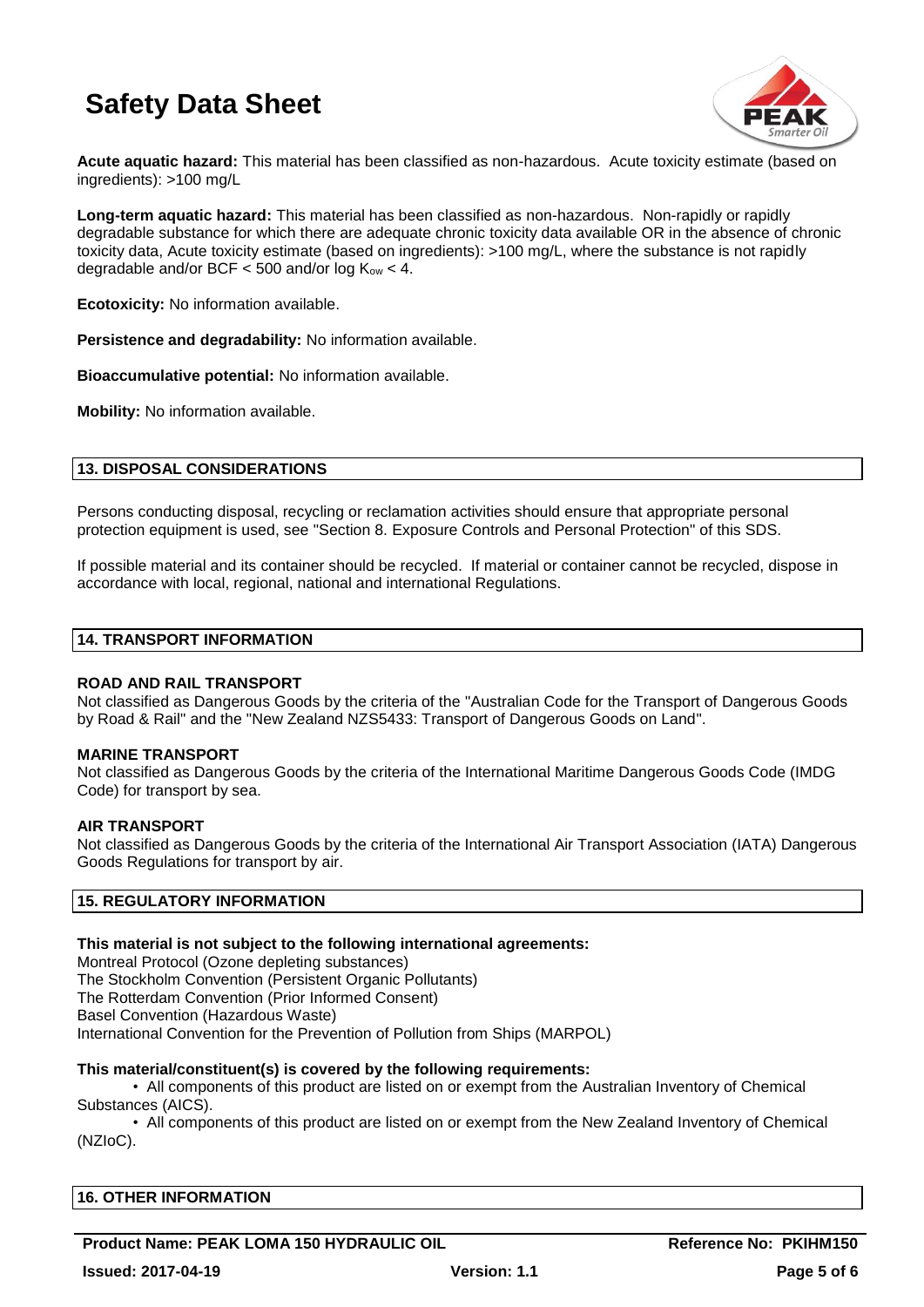

**Acute aquatic hazard:** This material has been classified as non-hazardous. Acute toxicity estimate (based on ingredients): >100 mg/L

**Long-term aquatic hazard:** This material has been classified as non-hazardous. Non-rapidly or rapidly degradable substance for which there are adequate chronic toxicity data available OR in the absence of chronic toxicity data, Acute toxicity estimate (based on ingredients): >100 mg/L, where the substance is not rapidly degradable and/or BCF  $<$  500 and/or log  $K_{ow}$   $<$  4.

**Ecotoxicity:** No information available.

**Persistence and degradability:** No information available.

**Bioaccumulative potential:** No information available.

**Mobility:** No information available.

### **13. DISPOSAL CONSIDERATIONS**

Persons conducting disposal, recycling or reclamation activities should ensure that appropriate personal protection equipment is used, see "Section 8. Exposure Controls and Personal Protection" of this SDS.

If possible material and its container should be recycled. If material or container cannot be recycled, dispose in accordance with local, regional, national and international Regulations.

#### **14. TRANSPORT INFORMATION**

#### **ROAD AND RAIL TRANSPORT**

Not classified as Dangerous Goods by the criteria of the "Australian Code for the Transport of Dangerous Goods by Road & Rail" and the "New Zealand NZS5433: Transport of Dangerous Goods on Land".

#### **MARINE TRANSPORT**

Not classified as Dangerous Goods by the criteria of the International Maritime Dangerous Goods Code (IMDG Code) for transport by sea.

#### **AIR TRANSPORT**

Not classified as Dangerous Goods by the criteria of the International Air Transport Association (IATA) Dangerous Goods Regulations for transport by air.

### **15. REGULATORY INFORMATION**

#### **This material is not subject to the following international agreements:**

Montreal Protocol (Ozone depleting substances) The Stockholm Convention (Persistent Organic Pollutants) The Rotterdam Convention (Prior Informed Consent) Basel Convention (Hazardous Waste) International Convention for the Prevention of Pollution from Ships (MARPOL)

#### **This material/constituent(s) is covered by the following requirements:**

• All components of this product are listed on or exempt from the Australian Inventory of Chemical Substances (AICS).

• All components of this product are listed on or exempt from the New Zealand Inventory of Chemical (NZIoC).